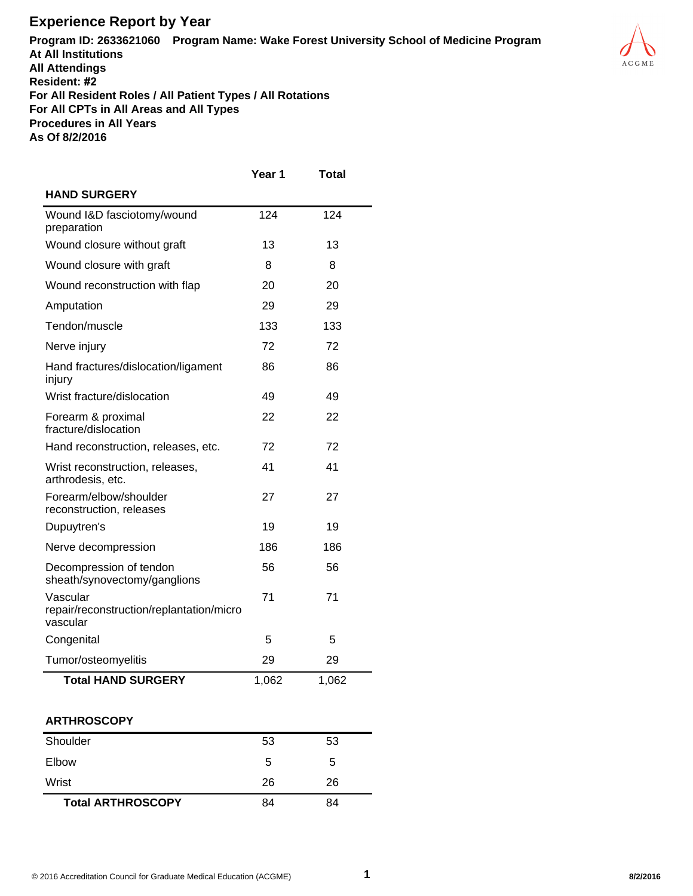## **Experience Report by Year**

**Program ID: 2633621060 Program Name: Wake Forest University School of Medicine Program At All Institutions All Attendings Resident: #2 For All Resident Roles / All Patient Types / All Rotations For All CPTs in All Areas and All Types Procedures in All Years As Of 8/2/2016**



## **ARTHROSCOPY**

| Shoulder                 | 53 | 53 |  |
|--------------------------|----|----|--|
| Elbow                    | 5  | 5  |  |
| Wrist                    | 26 | 26 |  |
| <b>Total ARTHROSCOPY</b> | 84 | 84 |  |